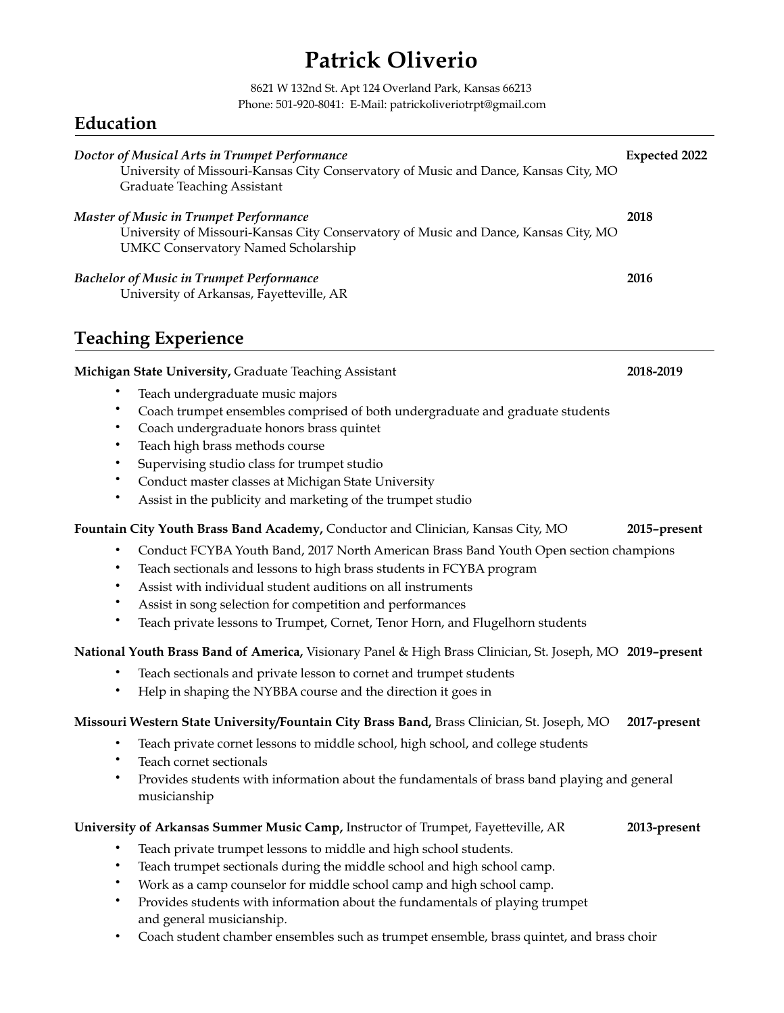# **Patrick Oliverio**

8621 W 132nd St. Apt 124 Overland Park, Kansas 66213 Phone: 501-920-8041: E-Mail: patrickoliveriotrpt@gmail.com

### **Education**

| Doctor of Musical Arts in Trumpet Performance<br>University of Missouri-Kansas City Conservatory of Music and Dance, Kansas City, MO<br><b>Graduate Teaching Assistant</b>                                                                                                                                                                                                                                                                                                                                                                                   | <b>Expected 2022</b>      |
|--------------------------------------------------------------------------------------------------------------------------------------------------------------------------------------------------------------------------------------------------------------------------------------------------------------------------------------------------------------------------------------------------------------------------------------------------------------------------------------------------------------------------------------------------------------|---------------------------|
| <b>Master of Music in Trumpet Performance</b><br>University of Missouri-Kansas City Conservatory of Music and Dance, Kansas City, MO<br><b>UMKC Conservatory Named Scholarship</b>                                                                                                                                                                                                                                                                                                                                                                           | 2018                      |
| <b>Bachelor of Music in Trumpet Performance</b><br>University of Arkansas, Fayetteville, AR                                                                                                                                                                                                                                                                                                                                                                                                                                                                  | 2016                      |
| <b>Teaching Experience</b>                                                                                                                                                                                                                                                                                                                                                                                                                                                                                                                                   |                           |
| Michigan State University, Graduate Teaching Assistant<br>Teach undergraduate music majors<br>٠<br>Coach trumpet ensembles comprised of both undergraduate and graduate students<br>Coach undergraduate honors brass quintet<br>$\bullet$<br>Teach high brass methods course<br>٠<br>Supervising studio class for trumpet studio<br>$\bullet$<br>Conduct master classes at Michigan State University<br>Assist in the publicity and marketing of the trumpet studio<br>٠<br>Fountain City Youth Brass Band Academy, Conductor and Clinician, Kansas City, MO | 2018-2019<br>2015-present |
| Conduct FCYBA Youth Band, 2017 North American Brass Band Youth Open section champions<br>$\bullet$<br>Teach sectionals and lessons to high brass students in FCYBA program<br>٠<br>Assist with individual student auditions on all instruments<br>$\bullet$<br>Assist in song selection for competition and performances<br>Teach private lessons to Trumpet, Cornet, Tenor Horn, and Flugelhorn students                                                                                                                                                    |                           |
| National Youth Brass Band of America, Visionary Panel & High Brass Clinician, St. Joseph, MO 2019-present                                                                                                                                                                                                                                                                                                                                                                                                                                                    |                           |
| Teach sectionals and private lesson to cornet and trumpet students<br>Help in shaping the NYBBA course and the direction it goes in                                                                                                                                                                                                                                                                                                                                                                                                                          |                           |
| Missouri Western State University/Fountain City Brass Band, Brass Clinician, St. Joseph, MO<br>Teach private cornet lessons to middle school, high school, and college students<br>$\bullet$<br>Teach cornet sectionals<br>$\bullet$<br>٠<br>Provides students with information about the fundamentals of brass band playing and general<br>musicianship                                                                                                                                                                                                     | 2017-present              |
| University of Arkansas Summer Music Camp, Instructor of Trumpet, Fayetteville, AR                                                                                                                                                                                                                                                                                                                                                                                                                                                                            | 2013-present              |
| Teach private trumpet lessons to middle and high school students.<br>٠<br>Teach trumpet sectionals during the middle school and high school camp.<br>٠<br>Work as a camp counselor for middle school camp and high school camp.<br>٠                                                                                                                                                                                                                                                                                                                         |                           |

- Provides students with information about the fundamentals of playing trumpet and general musicianship.
- Coach student chamber ensembles such as trumpet ensemble, brass quintet, and brass choir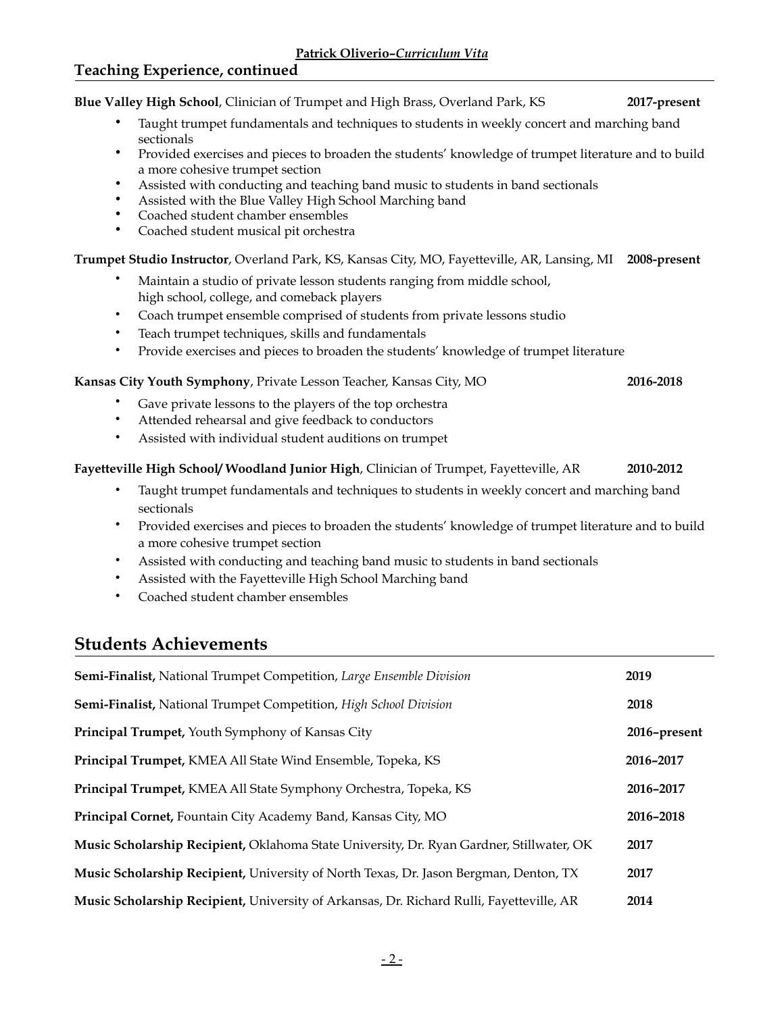**Blue Valley High School**, Clinician of Trumpet and High Brass, Overland Park, KS **2017-present**  • Taught trumpet fundamentals and techniques to students in weekly concert and marching band sectionals • Provided exercises and pieces to broaden the students' knowledge of trumpet literature and to build a more cohesive trumpet section • Assisted with conducting and teaching band music to students in band sectionals • Assisted with the Blue Valley High School Marching band • Coached student chamber ensembles • Coached student musical pit orchestra **Trumpet Studio Instructor**, Overland Park, KS, Kansas City, MO, Fayetteville, AR, Lansing, MI **2008-present**  • Maintain a studio of private lesson students ranging from middle school, high school, college, and comeback players • Coach trumpet ensemble comprised of students from private lessons studio • Teach trumpet techniques, skills and fundamentals Provide exercises and pieces to broaden the students' knowledge of trumpet literature **Kansas City Youth Symphony**, Private Lesson Teacher, Kansas City, MO **2016-2018**  Gave private lessons to the players of the top orchestra Attended rehearsal and give feedback to conductors • Assisted with individual student auditions on trumpet **Fayetteville High School/ Woodland Junior High**, Clinician of Trumpet, Fayetteville, AR **2010-2012**  • Taught trumpet fundamentals and techniques to students in weekly concert and marching band sectionals • Provided exercises and pieces to broaden the students' knowledge of trumpet literature and to build a more cohesive trumpet section • Assisted with conducting and teaching band music to students in band sectionals • Assisted with the Fayetteville High School Marching band • Coached student chamber ensembles

#### **Students Achievements**

| <b>Semi-Finalist, National Trumpet Competition, Large Ensemble Division</b>              | 2019         |
|------------------------------------------------------------------------------------------|--------------|
| Semi-Finalist, National Trumpet Competition, High School Division                        | 2018         |
| <b>Principal Trumpet, Youth Symphony of Kansas City</b>                                  | 2016-present |
| Principal Trumpet, KMEA All State Wind Ensemble, Topeka, KS                              | 2016-2017    |
| Principal Trumpet, KMEA All State Symphony Orchestra, Topeka, KS                         | 2016-2017    |
| Principal Cornet, Fountain City Academy Band, Kansas City, MO                            | 2016-2018    |
| Music Scholarship Recipient, Oklahoma State University, Dr. Ryan Gardner, Stillwater, OK | 2017         |
| Music Scholarship Recipient, University of North Texas, Dr. Jason Bergman, Denton, TX    | 2017         |
| Music Scholarship Recipient, University of Arkansas, Dr. Richard Rulli, Fayetteville, AR | 2014         |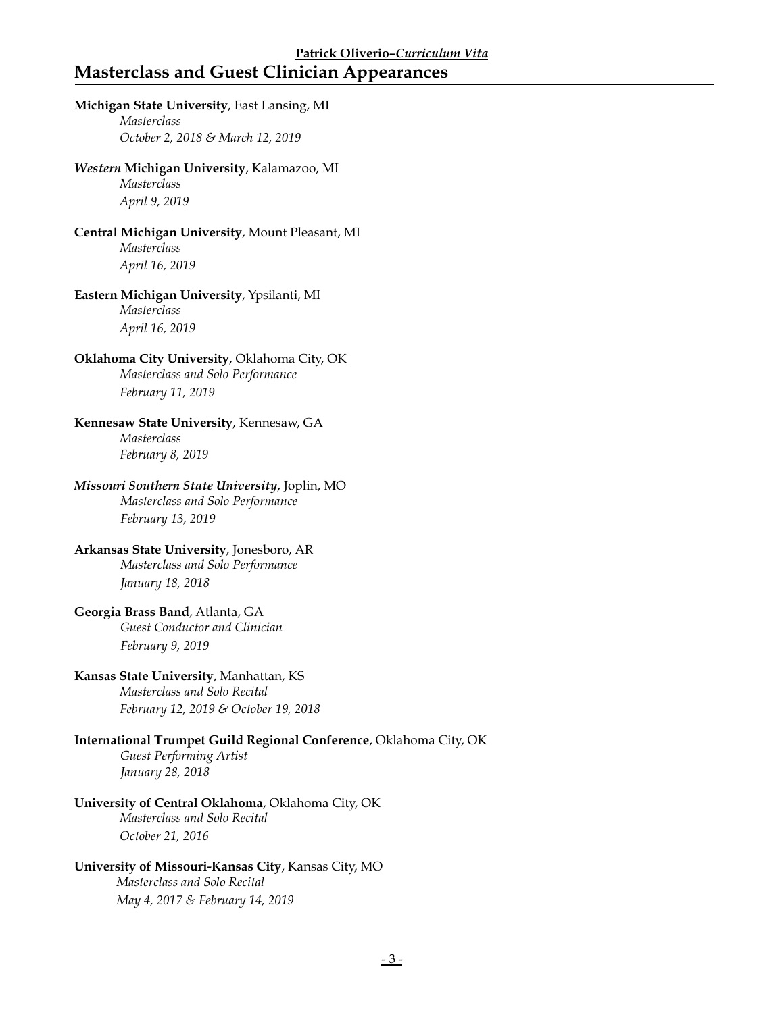#### **Patrick Oliverio–***Curriculum Vita* **Masterclass and Guest Clinician Appearances**

### **Michigan State University**, East Lansing, MI *Masterclass October 2, 2018 & March 12, 2019 Western* **Michigan University**, Kalamazoo, MI *Masterclass April 9, 2019* **Central Michigan University**, Mount Pleasant, MI *Masterclass April 16, 2019* **Eastern Michigan University**, Ypsilanti, MI *Masterclass April 16, 2019* **Oklahoma City University**, Oklahoma City, OK *Masterclass and Solo Performance February 11, 2019*  **Kennesaw State University**, Kennesaw, GA *Masterclass February 8, 2019 Missouri Southern State University*, Joplin, MO *Masterclass and Solo Performance February 13, 2019*  **Arkansas State University**, Jonesboro, AR *Masterclass and Solo Performance January 18, 2018*  **Georgia Brass Band**, Atlanta, GA *Guest Conductor and Clinician February 9, 2019*  **Kansas State University**, Manhattan, KS *Masterclass and Solo Recital February 12, 2019 & October 19, 2018*  **International Trumpet Guild Regional Conference**, Oklahoma City, OK *Guest Performing Artist January 28, 2018*  **University of Central Oklahoma**, Oklahoma City, OK *Masterclass and Solo Recital October 21, 2016*

#### **University of Missouri-Kansas City**, Kansas City, MO

 *Masterclass and Solo Recital May 4, 2017 & February 14, 2019*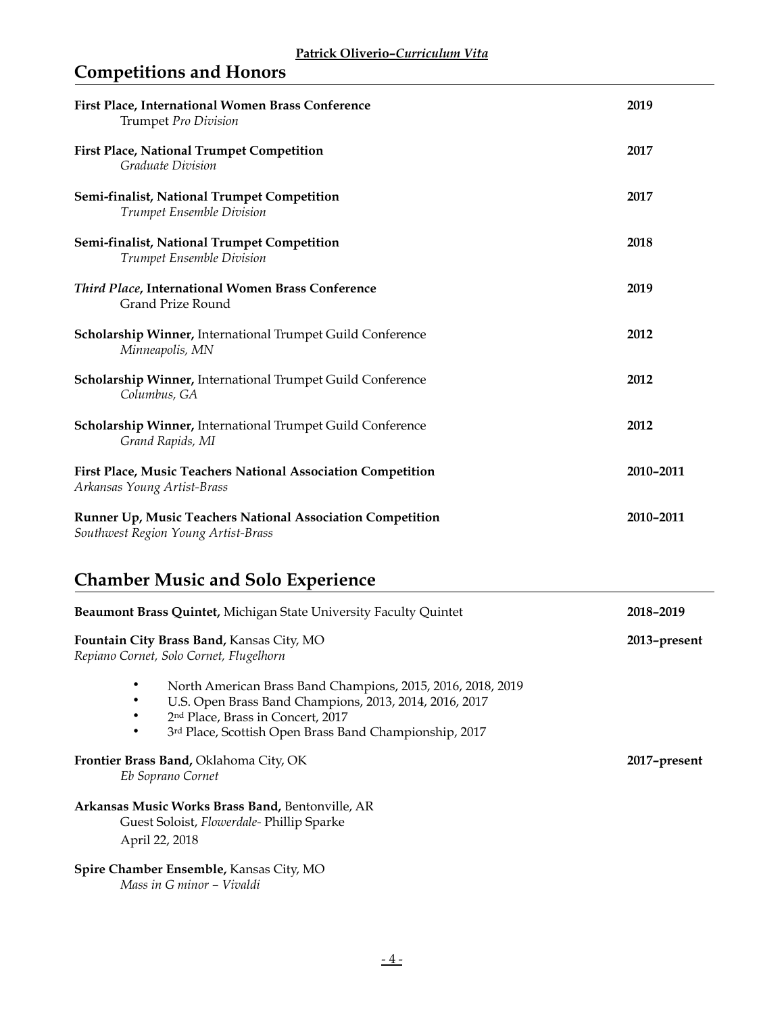## **Competitions and Honors**

| First Place, International Women Brass Conference<br>Trumpet Pro Division                                                                                                                                            | 2019         |
|----------------------------------------------------------------------------------------------------------------------------------------------------------------------------------------------------------------------|--------------|
| <b>First Place, National Trumpet Competition</b><br><b>Graduate Division</b>                                                                                                                                         | 2017         |
| Semi-finalist, National Trumpet Competition<br>Trumpet Ensemble Division                                                                                                                                             | 2017         |
| Semi-finalist, National Trumpet Competition<br>Trumpet Ensemble Division                                                                                                                                             | 2018         |
| <b>Third Place, International Women Brass Conference</b><br><b>Grand Prize Round</b>                                                                                                                                 | 2019         |
| <b>Scholarship Winner, International Trumpet Guild Conference</b><br>Minneapolis, MN                                                                                                                                 | 2012         |
| Scholarship Winner, International Trumpet Guild Conference<br>Columbus, GA                                                                                                                                           | 2012         |
| <b>Scholarship Winner, International Trumpet Guild Conference</b><br>Grand Rapids, MI                                                                                                                                | 2012         |
| First Place, Music Teachers National Association Competition<br>Arkansas Young Artist-Brass                                                                                                                          | 2010-2011    |
| Runner Up, Music Teachers National Association Competition<br>Southwest Region Young Artist-Brass                                                                                                                    | 2010-2011    |
| <b>Chamber Music and Solo Experience</b>                                                                                                                                                                             |              |
| <b>Beaumont Brass Quintet, Michigan State University Faculty Quintet</b>                                                                                                                                             | 2018-2019    |
| Fountain City Brass Band, Kansas City, MO<br>Repiano Cornet, Solo Cornet, Flugelhorn                                                                                                                                 | 2013-present |
| North American Brass Band Champions, 2015, 2016, 2018, 2019<br>U.S. Open Brass Band Champions, 2013, 2014, 2016, 2017<br>2nd Place, Brass in Concert, 2017<br>3rd Place, Scottish Open Brass Band Championship, 2017 |              |
| Frontier Brass Band, Oklahoma City, OK<br>Eb Soprano Cornet                                                                                                                                                          | 2017-present |
| Arkansas Music Works Brass Band, Bentonville, AR<br>Guest Soloist, Flowerdale- Phillip Sparke<br>April 22, 2018                                                                                                      |              |
| Spire Chamber Ensemble, Kansas City, MO                                                                                                                                                                              |              |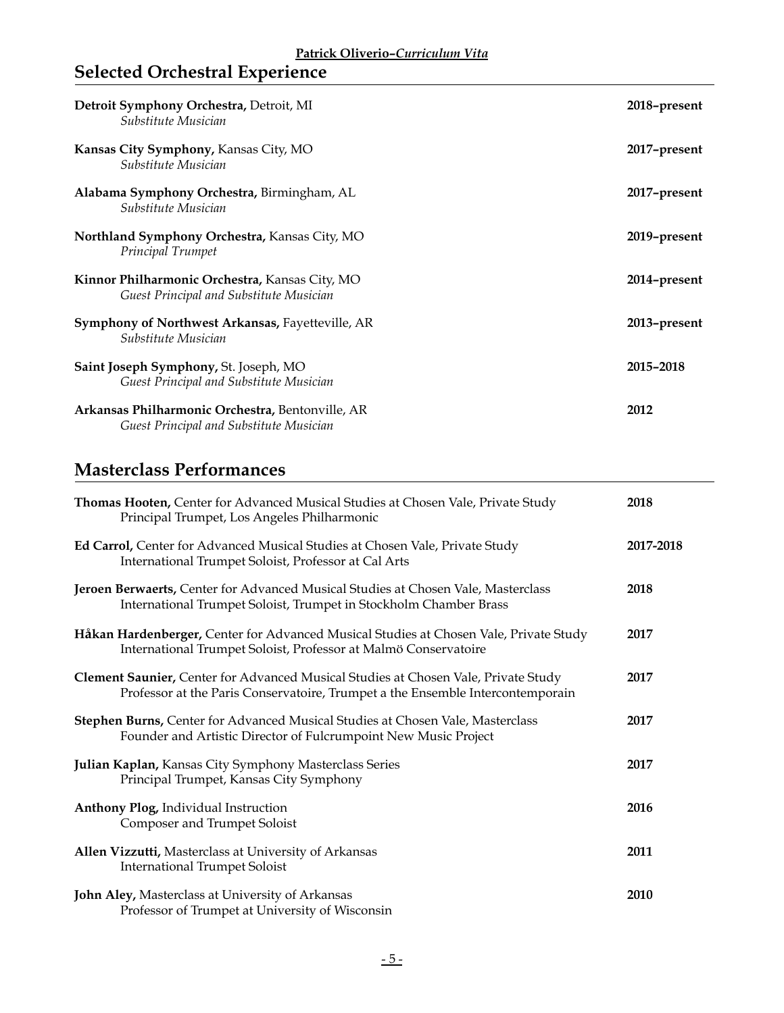## **Selected Orchestral Experience**

| Detroit Symphony Orchestra, Detroit, MI<br>Substitute Musician                              | 2018-present |
|---------------------------------------------------------------------------------------------|--------------|
| Kansas City Symphony, Kansas City, MO<br>Substitute Musician                                | 2017-present |
| Alabama Symphony Orchestra, Birmingham, AL<br>Substitute Musician                           | 2017-present |
| Northland Symphony Orchestra, Kansas City, MO<br>Principal Trumpet                          | 2019–present |
| Kinnor Philharmonic Orchestra, Kansas City, MO<br>Guest Principal and Substitute Musician   | 2014-present |
| Symphony of Northwest Arkansas, Fayetteville, AR<br>Substitute Musician                     | 2013-present |
| Saint Joseph Symphony, St. Joseph, MO<br>Guest Principal and Substitute Musician            | 2015-2018    |
| Arkansas Philharmonic Orchestra, Bentonville, AR<br>Guest Principal and Substitute Musician | 2012         |

## **Masterclass Performances**

| Thomas Hooten, Center for Advanced Musical Studies at Chosen Vale, Private Study<br>Principal Trumpet, Los Angeles Philharmonic                                      | 2018      |
|----------------------------------------------------------------------------------------------------------------------------------------------------------------------|-----------|
| Ed Carrol, Center for Advanced Musical Studies at Chosen Vale, Private Study<br>International Trumpet Soloist, Professor at Cal Arts                                 | 2017-2018 |
| Jeroen Berwaerts, Center for Advanced Musical Studies at Chosen Vale, Masterclass<br>International Trumpet Soloist, Trumpet in Stockholm Chamber Brass               | 2018      |
| Håkan Hardenberger, Center for Advanced Musical Studies at Chosen Vale, Private Study<br>International Trumpet Soloist, Professor at Malmö Conservatoire             | 2017      |
| Clement Saunier, Center for Advanced Musical Studies at Chosen Vale, Private Study<br>Professor at the Paris Conservatoire, Trumpet a the Ensemble Intercontemporain | 2017      |
| Stephen Burns, Center for Advanced Musical Studies at Chosen Vale, Masterclass<br>Founder and Artistic Director of Fulcrumpoint New Music Project                    | 2017      |
| Julian Kaplan, Kansas City Symphony Masterclass Series<br>Principal Trumpet, Kansas City Symphony                                                                    | 2017      |
| Anthony Plog, Individual Instruction<br>Composer and Trumpet Soloist                                                                                                 | 2016      |
| Allen Vizzutti, Masterclass at University of Arkansas<br><b>International Trumpet Soloist</b>                                                                        | 2011      |
| John Aley, Masterclass at University of Arkansas<br>Professor of Trumpet at University of Wisconsin                                                                  | 2010      |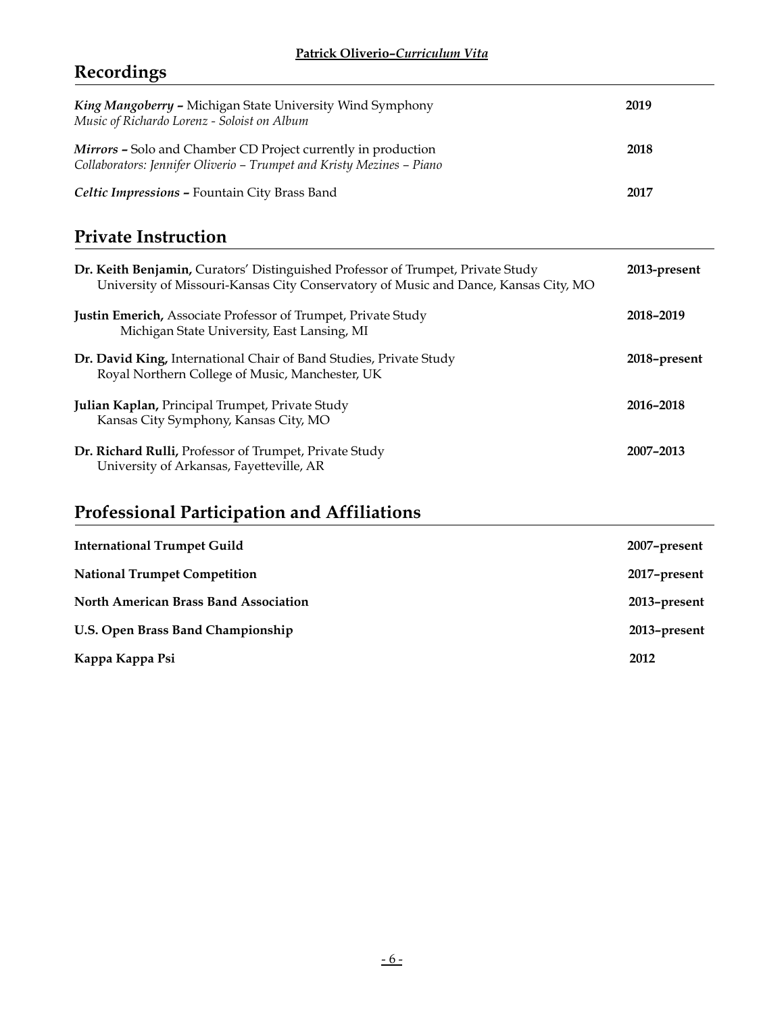## **Recordings**

| King Mangoberry - Michigan State University Wind Symphony<br>Music of Richardo Lorenz - Soloist on Album                                                               | 2019         |
|------------------------------------------------------------------------------------------------------------------------------------------------------------------------|--------------|
| Mirrors - Solo and Chamber CD Project currently in production<br>Collaborators: Jennifer Oliverio - Trumpet and Kristy Mezines - Piano                                 | 2018         |
| Celtic Impressions - Fountain City Brass Band                                                                                                                          | 2017         |
| <b>Private Instruction</b>                                                                                                                                             |              |
| Dr. Keith Benjamin, Curators' Distinguished Professor of Trumpet, Private Study<br>University of Missouri-Kansas City Conservatory of Music and Dance, Kansas City, MO | 2013-present |
| Justin Emerich, Associate Professor of Trumpet, Private Study<br>Michigan State University, East Lansing, MI                                                           | 2018-2019    |
| Dr. David King, International Chair of Band Studies, Private Study<br>Royal Northern College of Music, Manchester, UK                                                  | 2018-present |
| Julian Kaplan, Principal Trumpet, Private Study<br>Kansas City Symphony, Kansas City, MO                                                                               | 2016-2018    |
| Dr. Richard Rulli, Professor of Trumpet, Private Study<br>University of Arkansas, Fayetteville, AR                                                                     | 2007-2013    |
| <b>Professional Participation and Affiliations</b>                                                                                                                     |              |
| <b>International Trumpet Guild</b>                                                                                                                                     | 2007-present |
| <b>National Trumpet Competition</b>                                                                                                                                    | 2017-present |
| <b>North American Brass Band Association</b>                                                                                                                           | 2013-present |
| U.S. Open Brass Band Championship                                                                                                                                      | 2013-present |
| Kappa Kappa Psi                                                                                                                                                        | 2012         |